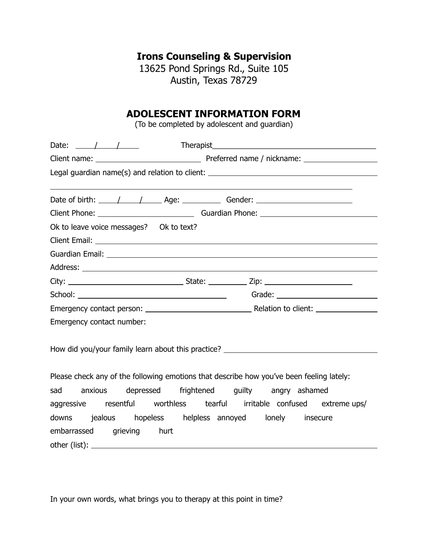## **Irons Counseling & Supervision**

13625 Pond Springs Rd., Suite 105 Austin, Texas 78729

## **ADOLESCENT INFORMATION FORM**

(To be completed by adolescent and guardian)

| Date: $\frac{1}{\sqrt{1-\frac{1}{2}}}$                                                                          |  |  |  |  |
|-----------------------------------------------------------------------------------------------------------------|--|--|--|--|
|                                                                                                                 |  |  |  |  |
| Legal guardian name(s) and relation to client: __________________________________                               |  |  |  |  |
|                                                                                                                 |  |  |  |  |
| Date of birth: $\angle$ / $\angle$ Age: $\angle$ Gender: $\angle$                                               |  |  |  |  |
|                                                                                                                 |  |  |  |  |
| Ok to leave voice messages? Ok to text?                                                                         |  |  |  |  |
|                                                                                                                 |  |  |  |  |
| Guardian Email: National Accounts and Accounts and Accounts and Accounts and Accounts and Accounts and Accounts |  |  |  |  |
|                                                                                                                 |  |  |  |  |
|                                                                                                                 |  |  |  |  |
|                                                                                                                 |  |  |  |  |
|                                                                                                                 |  |  |  |  |
| Emergency contact number:                                                                                       |  |  |  |  |
|                                                                                                                 |  |  |  |  |
| How did you/your family learn about this practice?                                                              |  |  |  |  |
|                                                                                                                 |  |  |  |  |
| Please check any of the following emotions that describe how you've been feeling lately:                        |  |  |  |  |
| sad anxious depressed frightened guilty angry-ashamed                                                           |  |  |  |  |
| aggressive resentful worthless tearful irritable confused extreme-ups/                                          |  |  |  |  |
| downs jealous hopeless helpless annoyed lonely insecure                                                         |  |  |  |  |
| embarrassed grieving hurt                                                                                       |  |  |  |  |

In your own words, what brings you to therapy at this point in time?

other (list):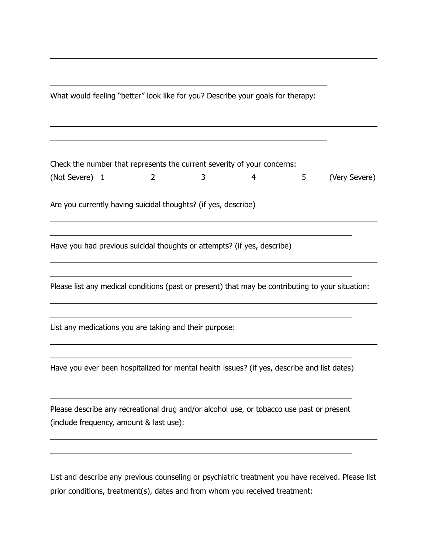What would feeling "better" look like for you? Describe your goals for therapy:

Check the number that represents the current severity of your concerns: (Not Severe) 1 2 3 4 5 (Very Severe)

Are you currently having suicidal thoughts? (if yes, describe)

 $\overline{a}$ 

 $\overline{a}$ 

 $\overline{a}$ 

 $\overline{a}$ 

 $\overline{a}$ 

 $\overline{a}$ 

 $\overline{a}$ 

 $\overline{a}$ 

 $\overline{a}$ 

 $\overline{a}$ 

Have you had previous suicidal thoughts or attempts? (if yes, describe)

Please list any medical conditions (past or present) that may be contributing to your situation:

List any medications you are taking and their purpose:

Have you ever been hospitalized for mental health issues? (if yes, describe and list dates)

Please describe any recreational drug and/or alcohol use, or tobacco use past or present (include frequency, amount & last use):

List and describe any previous counseling or psychiatric treatment you have received. Please list prior conditions, treatment(s), dates and from whom you received treatment: